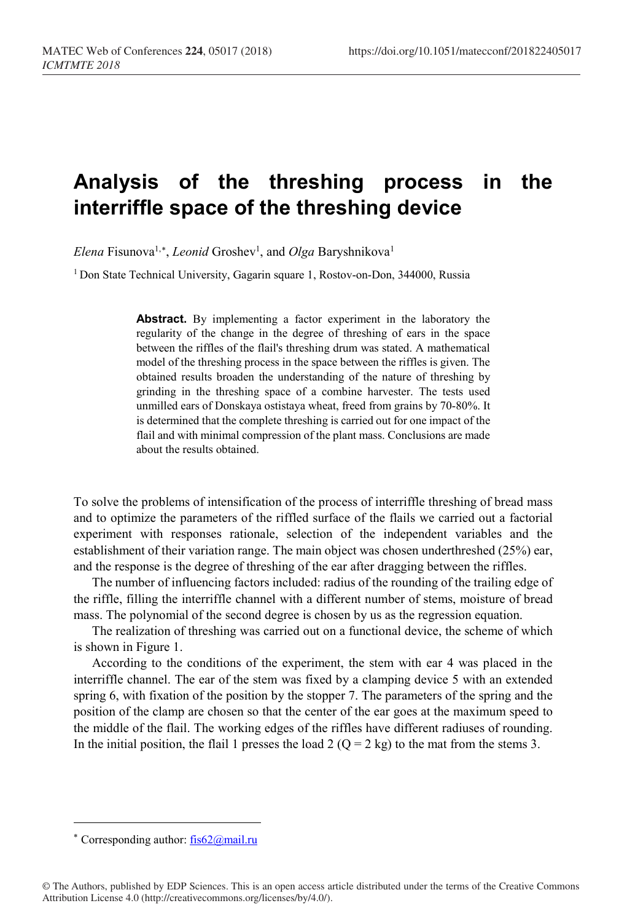## **Analysis of the threshing process in the interriffle space of the threshing device**

*Elena* Fisunova<sup>1,[∗](#page-0-0)</sup>, *Leonid* Groshev<sup>1</sup>, and *Olga* Baryshnikova<sup>1</sup>

<sup>1</sup> Don State Technical University, Gagarin square 1, Rostov-on-Don, 344000, Russia

**Abstract.** By implementing a factor experiment in the laboratory the regularity of the change in the degree of threshing of ears in the space between the riffles of the flail's threshing drum was stated. A mathematical model of the threshing process in the space between the riffles is given. The obtained results broaden the understanding of the nature of threshing by grinding in the threshing space of a combine harvester. The tests used unmilled ears of Donskaya ostistaya wheat, freed from grains by 70-80%. It is determined that the complete threshing is carried out for one impact of the flail and with minimal compression of the plant mass. Conclusions are made about the results obtained.

To solve the problems of intensification of the process of interriffle threshing of bread mass and to optimize the parameters of the riffled surface of the flails we carried out a factorial experiment with responses rationale, selection of the independent variables and the establishment of their variation range. The main object was chosen underthreshed (25%) ear, and the response is the degree of threshing of the ear after dragging between the riffles.

The number of influencing factors included: radius of the rounding of the trailing edge of the riffle, filling the interriffle channel with a different number of stems, moisture of bread mass. The polynomial of the second degree is chosen by us as the regression equation.

The realization of threshing was carried out on a functional device, the scheme of which is shown in Figure 1.

According to the conditions of the experiment, the stem with ear 4 was placed in the interriffle channel. The ear of the stem was fixed by a clamping device 5 with an extended spring 6, with fixation of the position by the stopper 7. The parameters of the spring and the position of the clamp are chosen so that the center of the ear goes at the maximum speed to the middle of the flail. The working edges of the riffles have different radiuses of rounding. In the initial position, the flail 1 presses the load 2 ( $Q = 2$  kg) to the mat from the stems 3.

 $\overline{a}$ 

<span id="page-0-0"></span><sup>∗</sup> Corresponding author: [fis62@mail.ru](mailto:fis62@mail.ru)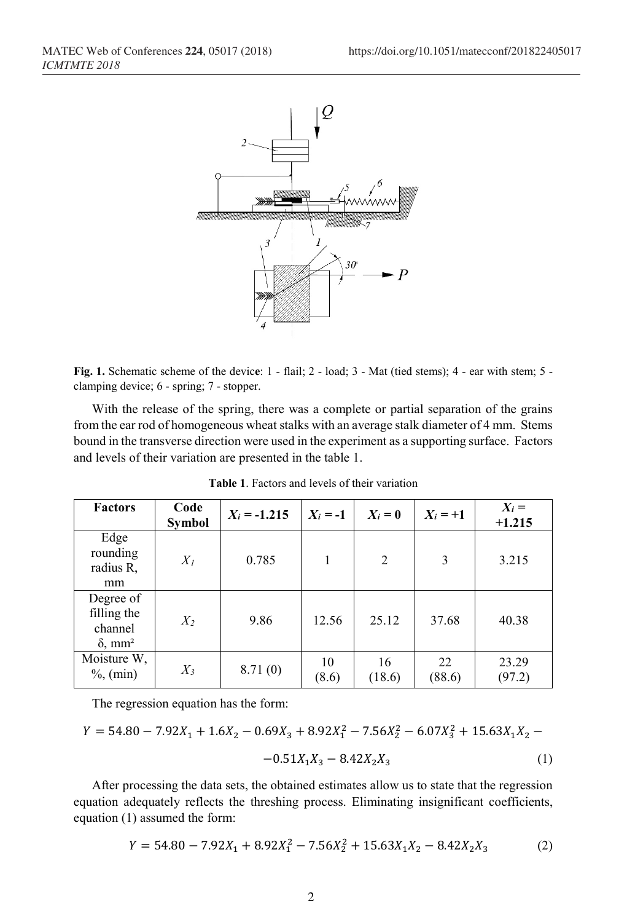

**Fig. 1.** Schematic scheme of the devic**e**: 1 - flail; 2 - load; 3 - Mat (tied stems); 4 - ear with stem; 5 clamping device; 6 - spring; 7 - stopper.

With the release of the spring, there was a complete or partial separation of the grains from the ear rod of homogeneous wheat stalks with an average stalk diameter of 4 mm. Stems bound in the transverse direction were used in the experiment as a supporting surface. Factors and levels of their variation are presented in the table 1.

| <b>Factors</b>                                                    | Code<br><b>Symbol</b> | $X_i = -1.215$ | $X_i = -1$  | $X_i = 0$      | $X_i = +1$   | $X_i =$<br>$+1.215$ |
|-------------------------------------------------------------------|-----------------------|----------------|-------------|----------------|--------------|---------------------|
| Edge<br>rounding<br>radius R,<br>mm                               | $X_I$                 | 0.785          |             | $\overline{2}$ | 3            | 3.215               |
| Degree of<br>filling the<br>channel<br>$\delta$ , mm <sup>2</sup> | $X_2$                 | 9.86           | 12.56       | 25.12          | 37.68        | 40.38               |
| Moisture W,<br>$\%$ , (min)                                       | $X_3$                 | 8.71(0)        | 10<br>(8.6) | 16<br>(18.6)   | 22<br>(88.6) | 23.29<br>(97.2)     |

**Table 1**. Factors and levels of their variation

The regression equation has the form:

$$
Y = 54.80 - 7.92X_1 + 1.6X_2 - 0.69X_3 + 8.92X_1^2 - 7.56X_2^2 - 6.07X_3^2 + 15.63X_1X_2 - -0.51X_1X_3 - 8.42X_2X_3
$$
 (1)

After processing the data sets, the obtained estimates allow us to state that the regression equation adequately reflects the threshing process. Eliminating insignificant coefficients, equation (1) assumed the form:

$$
Y = 54.80 - 7.92X_1 + 8.92X_1^2 - 7.56X_2^2 + 15.63X_1X_2 - 8.42X_2X_3 \tag{2}
$$